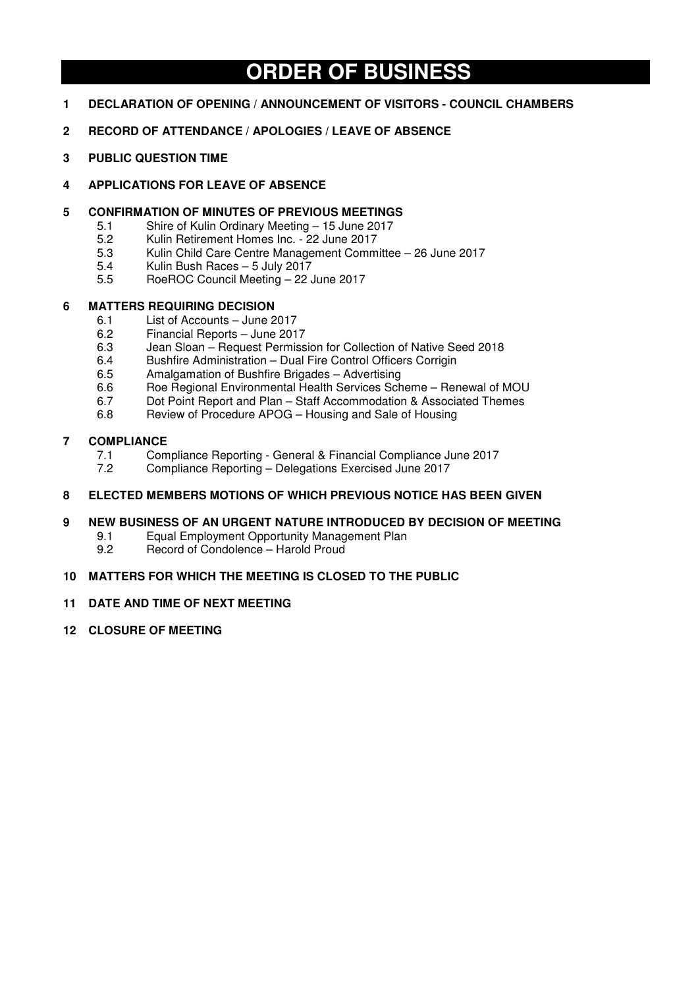# **ORDER OF BUSINESS**

- **1 DECLARATION OF OPENING / ANNOUNCEMENT OF VISITORS COUNCIL CHAMBERS**
- **2 RECORD OF ATTENDANCE / APOLOGIES / LEAVE OF ABSENCE**
- **3 PUBLIC QUESTION TIME**
- **4 APPLICATIONS FOR LEAVE OF ABSENCE**
- **5 CONFIRMATION OF MINUTES OF PREVIOUS MEETINGS** 
	- 5.1 Shire of Kulin Ordinary Meeting 15 June 2017<br>5.2 Kulin Retirement Homes Inc. 22 June 2017
	- 5.2 Kulin Retirement Homes Inc. 22 June 2017
	- 5.3 Kulin Child Care Centre Management Committee 26 June 2017
	- Kulin Bush Races 5 July 2017
	- 5.5 RoeROC Council Meeting 22 June 2017

## **6 MATTERS REQUIRING DECISION**

- 6.1 List of Accounts June 2017
- 6.2 Financial Reports June 2017<br>6.3 Jean Sloan Request Permiss
- Jean Sloan Request Permission for Collection of Native Seed 2018
- 6.4 Bushfire Administration Dual Fire Control Officers Corrigin
- 6.5 Amalgamation of Bushfire Brigades Advertising
- 6.6 Roe Regional Environmental Health Services Scheme Renewal of MOU
- 6.7 Dot Point Report and Plan Staff Accommodation & Associated Themes
- 6.8 Review of Procedure APOG Housing and Sale of Housing

## **7 COMPLIANCE**

- 7.1 Compliance Reporting General & Financial Compliance June 2017<br>7.2 Compliance Reporting Delegations Exercised June 2017
- 7.2 Compliance Reporting Delegations Exercised June 2017
- **8 ELECTED MEMBERS MOTIONS OF WHICH PREVIOUS NOTICE HAS BEEN GIVEN**
- **9 NEW BUSINESS OF AN URGENT NATURE INTRODUCED BY DECISION OF MEETING** 
	- 9.1 Equal Employment Opportunity Management Plan<br>9.2 Becord of Condolence Harold Proud
	- 9.2 Record of Condolence Harold Proud

## **10 MATTERS FOR WHICH THE MEETING IS CLOSED TO THE PUBLIC**

- **11 DATE AND TIME OF NEXT MEETING**
- **12 CLOSURE OF MEETING**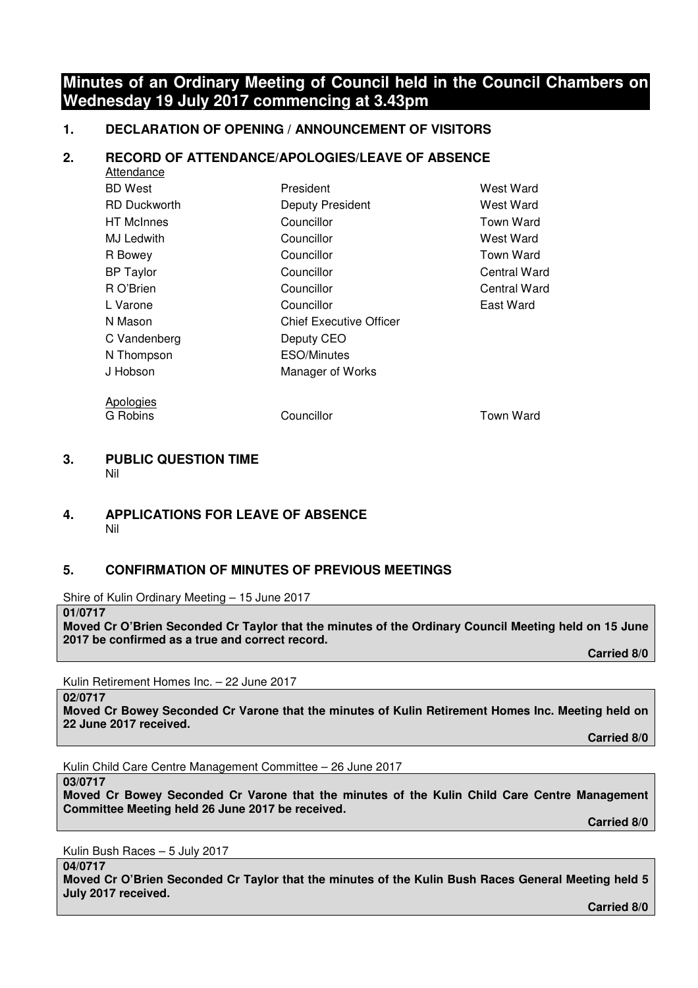# **Minutes of an Ordinary Meeting of Council held in the Council Chambers on Wednesday 19 July 2017 commencing at 3.43pm**

# **1. DECLARATION OF OPENING / ANNOUNCEMENT OF VISITORS**

# **2. RECORD OF ATTENDANCE/APOLOGIES/LEAVE OF ABSENCE**

| Attendance          |                                |                  |
|---------------------|--------------------------------|------------------|
| <b>BD</b> West      | President                      | West Ward        |
| <b>RD Duckworth</b> | <b>Deputy President</b>        | West Ward        |
| <b>HT</b> McInnes   | Councillor                     | <b>Town Ward</b> |
| MJ Ledwith          | Councillor                     | West Ward        |
| R Bowey             | Councillor                     | Town Ward        |
| <b>BP</b> Taylor    | Councillor                     | Central Ward     |
| R O'Brien           | Councillor                     | Central Ward     |
| L Varone            | Councillor                     | East Ward        |
| N Mason             | <b>Chief Executive Officer</b> |                  |
| C Vandenberg        | Deputy CEO                     |                  |
| N Thompson          | <b>ESO/Minutes</b>             |                  |
| J Hobson            | Manager of Works               |                  |
| Apologies           |                                |                  |

G Robins Councillor Town Ward

**3. PUBLIC QUESTION TIME**  Nil

# **4. APPLICATIONS FOR LEAVE OF ABSENCE**  Nil

# **5. CONFIRMATION OF MINUTES OF PREVIOUS MEETINGS**

Shire of Kulin Ordinary Meeting – 15 June 2017

**01/0717** 

**Moved Cr O'Brien Seconded Cr Taylor that the minutes of the Ordinary Council Meeting held on 15 June 2017 be confirmed as a true and correct record.** 

 **Carried 8/0** 

Kulin Retirement Homes Inc. – 22 June 2017

**02/0717** 

**Moved Cr Bowey Seconded Cr Varone that the minutes of Kulin Retirement Homes Inc. Meeting held on 22 June 2017 received.** 

 **Carried 8/0** 

Kulin Child Care Centre Management Committee – 26 June 2017

**03/0717** 

**Moved Cr Bowey Seconded Cr Varone that the minutes of the Kulin Child Care Centre Management Committee Meeting held 26 June 2017 be received.** 

 **Carried 8/0** 

Kulin Bush Races – 5 July 2017

**04/0717** 

**Moved Cr O'Brien Seconded Cr Taylor that the minutes of the Kulin Bush Races General Meeting held 5 July 2017 received.** 

 **Carried 8/0**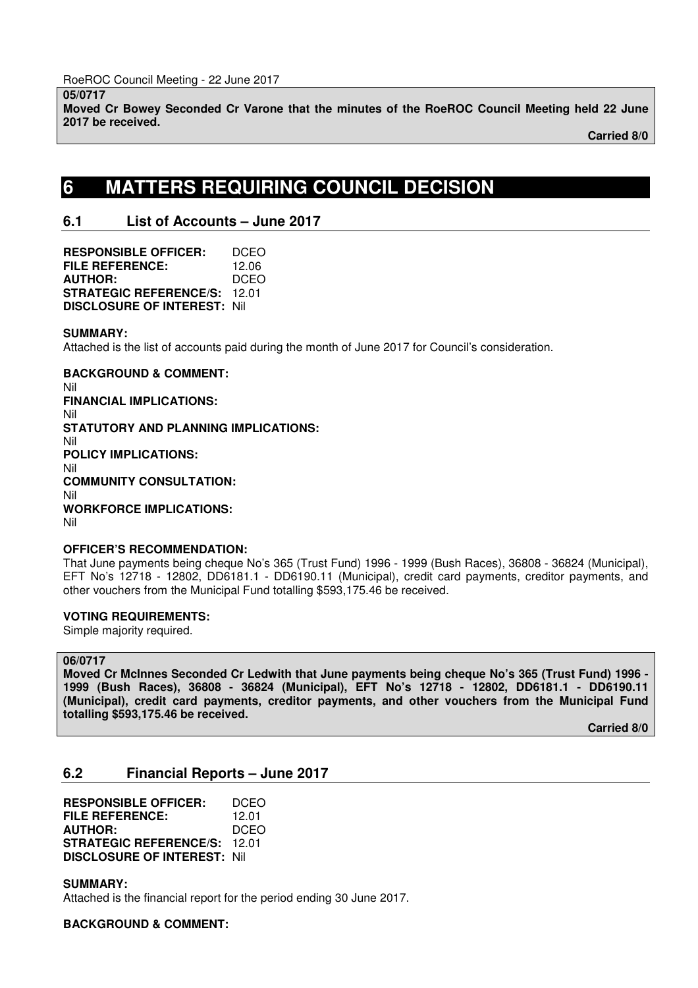**05/0717 Moved Cr Bowey Seconded Cr Varone that the minutes of the RoeROC Council Meeting held 22 June 2017 be received.** 

 **Carried 8/0**

# **6 MATTERS REQUIRING COUNCIL DECISION**

# **6.1 List of Accounts – June 2017**

**RESPONSIBLE OFFICER:** DCEO **FILE REFERENCE:** 12.06 **AUTHOR:** DCEO **STRATEGIC REFERENCE/S:** 12.01 **DISCLOSURE OF INTEREST:** Nil

## **SUMMARY:**

Attached is the list of accounts paid during the month of June 2017 for Council's consideration.

**BACKGROUND & COMMENT:**  Nil

**FINANCIAL IMPLICATIONS:**  Nil **STATUTORY AND PLANNING IMPLICATIONS:**  Nil **POLICY IMPLICATIONS:**  Nil **COMMUNITY CONSULTATION:**  Nil **WORKFORCE IMPLICATIONS:**  Nil

## **OFFICER'S RECOMMENDATION:**

That June payments being cheque No's 365 (Trust Fund) 1996 - 1999 (Bush Races), 36808 - 36824 (Municipal), EFT No's 12718 - 12802, DD6181.1 - DD6190.11 (Municipal), credit card payments, creditor payments, and other vouchers from the Municipal Fund totalling \$593,175.46 be received.

## **VOTING REQUIREMENTS:**

Simple majority required.

## **06/0717**

**Moved Cr McInnes Seconded Cr Ledwith that June payments being cheque No's 365 (Trust Fund) 1996 - 1999 (Bush Races), 36808 - 36824 (Municipal), EFT No's 12718 - 12802, DD6181.1 - DD6190.11 (Municipal), credit card payments, creditor payments, and other vouchers from the Municipal Fund totalling \$593,175.46 be received.** 

 **Carried 8/0** 

# **6.2 Financial Reports – June 2017**

**RESPONSIBLE OFFICER:** DCEO **FILE REFERENCE:** 12.01 **AUTHOR:** DCEO **STRATEGIC REFERENCE/S:** 12.01 **DISCLOSURE OF INTEREST:** Nil

**SUMMARY:** 

Attached is the financial report for the period ending 30 June 2017.

**BACKGROUND & COMMENT:**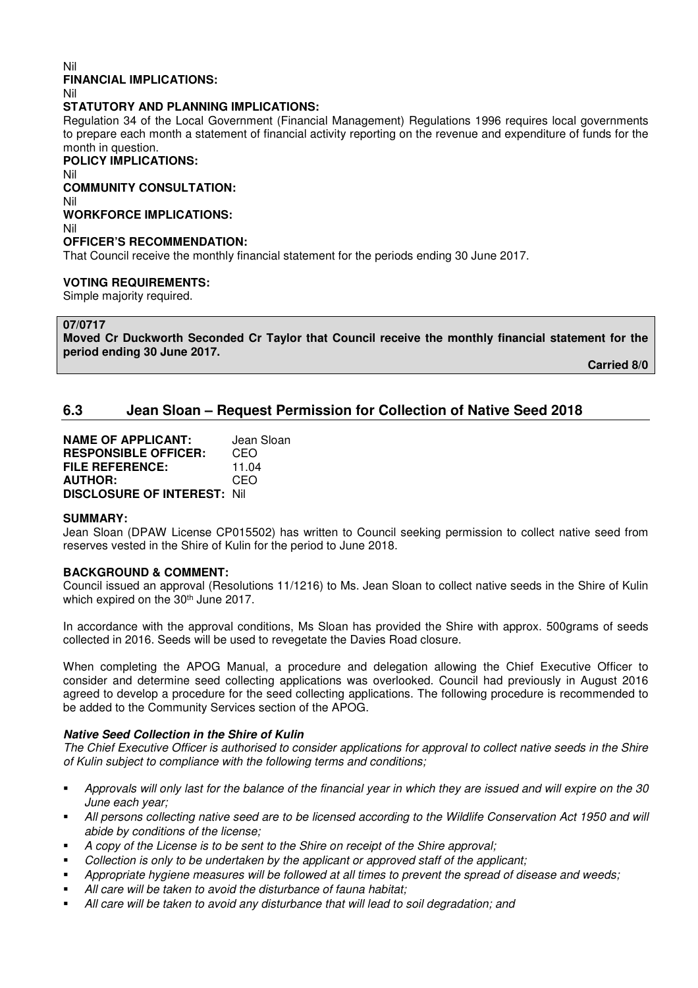#### Nil

#### **FINANCIAL IMPLICATIONS:**

Nil

## **STATUTORY AND PLANNING IMPLICATIONS:**

Regulation 34 of the Local Government (Financial Management) Regulations 1996 requires local governments to prepare each month a statement of financial activity reporting on the revenue and expenditure of funds for the month in question.

**POLICY IMPLICATIONS:** 

Nil

## **COMMUNITY CONSULTATION:**

Nil **WORKFORCE IMPLICATIONS:** 

Nil

## **OFFICER'S RECOMMENDATION:**

That Council receive the monthly financial statement for the periods ending 30 June 2017.

## **VOTING REQUIREMENTS:**

Simple majority required.

## **07/0717**

**Moved Cr Duckworth Seconded Cr Taylor that Council receive the monthly financial statement for the period ending 30 June 2017.** 

 **Carried 8/0** 

# **6.3 Jean Sloan – Request Permission for Collection of Native Seed 2018**

| <b>NAME OF APPLICANT:</b>          | Jean Sloan |
|------------------------------------|------------|
| <b>RESPONSIBLE OFFICER:</b>        | CEO        |
| <b>FILE REFERENCE:</b>             | 11.04      |
| <b>AUTHOR:</b>                     | CEO        |
| <b>DISCLOSURE OF INTEREST: Nil</b> |            |

#### **SUMMARY:**

Jean Sloan (DPAW License CP015502) has written to Council seeking permission to collect native seed from reserves vested in the Shire of Kulin for the period to June 2018.

## **BACKGROUND & COMMENT:**

Council issued an approval (Resolutions 11/1216) to Ms. Jean Sloan to collect native seeds in the Shire of Kulin which expired on the 30<sup>th</sup> June 2017.

In accordance with the approval conditions, Ms Sloan has provided the Shire with approx. 500grams of seeds collected in 2016. Seeds will be used to revegetate the Davies Road closure.

When completing the APOG Manual, a procedure and delegation allowing the Chief Executive Officer to consider and determine seed collecting applications was overlooked. Council had previously in August 2016 agreed to develop a procedure for the seed collecting applications. The following procedure is recommended to be added to the Community Services section of the APOG.

## **Native Seed Collection in the Shire of Kulin**

*The Chief Executive Officer is authorised to consider applications for approval to collect native seeds in the Shire of Kulin subject to compliance with the following terms and conditions;* 

- *Approvals will only last for the balance of the financial year in which they are issued and will expire on the 30 June each year;*
- *All persons collecting native seed are to be licensed according to the Wildlife Conservation Act 1950 and will abide by conditions of the license;*
- *A copy of the License is to be sent to the Shire on receipt of the Shire approval;*
- *Collection is only to be undertaken by the applicant or approved staff of the applicant;*
- *Appropriate hygiene measures will be followed at all times to prevent the spread of disease and weeds;*
- *All care will be taken to avoid the disturbance of fauna habitat;*
- *All care will be taken to avoid any disturbance that will lead to soil degradation; and*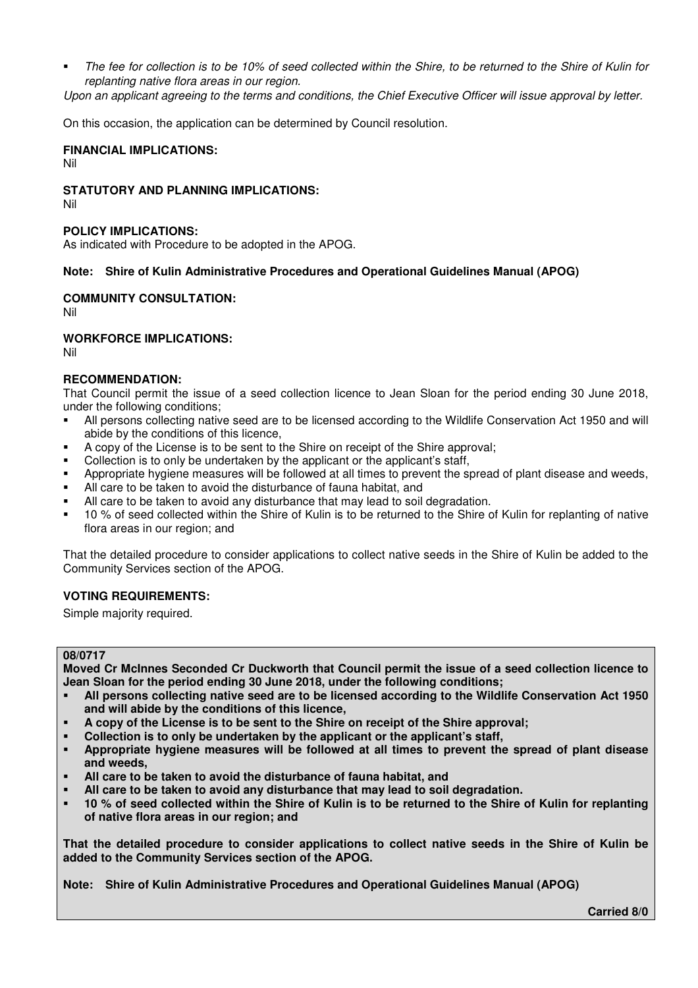*The fee for collection is to be 10% of seed collected within the Shire, to be returned to the Shire of Kulin for replanting native flora areas in our region.* 

*Upon an applicant agreeing to the terms and conditions, the Chief Executive Officer will issue approval by letter.* 

On this occasion, the application can be determined by Council resolution.

## **FINANCIAL IMPLICATIONS:**

Nil

## **STATUTORY AND PLANNING IMPLICATIONS:**

Nil

## **POLICY IMPLICATIONS:**

As indicated with Procedure to be adopted in the APOG.

## **Note: Shire of Kulin Administrative Procedures and Operational Guidelines Manual (APOG)**

## **COMMUNITY CONSULTATION:**

Nil

## **WORKFORCE IMPLICATIONS:**

Nil

## **RECOMMENDATION:**

That Council permit the issue of a seed collection licence to Jean Sloan for the period ending 30 June 2018, under the following conditions;

- All persons collecting native seed are to be licensed according to the Wildlife Conservation Act 1950 and will abide by the conditions of this licence,
- A copy of the License is to be sent to the Shire on receipt of the Shire approval;
- Collection is to only be undertaken by the applicant or the applicant's staff.
- Appropriate hygiene measures will be followed at all times to prevent the spread of plant disease and weeds,
- All care to be taken to avoid the disturbance of fauna habitat, and
- All care to be taken to avoid any disturbance that may lead to soil degradation.
- <sup>10</sup> % of seed collected within the Shire of Kulin is to be returned to the Shire of Kulin for replanting of native flora areas in our region; and

That the detailed procedure to consider applications to collect native seeds in the Shire of Kulin be added to the Community Services section of the APOG.

## **VOTING REQUIREMENTS:**

Simple majority required.

#### **08/0717**

**Moved Cr McInnes Seconded Cr Duckworth that Council permit the issue of a seed collection licence to Jean Sloan for the period ending 30 June 2018, under the following conditions;** 

- **All persons collecting native seed are to be licensed according to the Wildlife Conservation Act 1950 and will abide by the conditions of this licence,**
- **A copy of the License is to be sent to the Shire on receipt of the Shire approval;**
- **Collection is to only be undertaken by the applicant or the applicant's staff,**
- **Appropriate hygiene measures will be followed at all times to prevent the spread of plant disease and weeds,**
- **All care to be taken to avoid the disturbance of fauna habitat, and**
- **All care to be taken to avoid any disturbance that may lead to soil degradation.**
- **10 % of seed collected within the Shire of Kulin is to be returned to the Shire of Kulin for replanting of native flora areas in our region; and**

**That the detailed procedure to consider applications to collect native seeds in the Shire of Kulin be added to the Community Services section of the APOG.** 

**Note: Shire of Kulin Administrative Procedures and Operational Guidelines Manual (APOG)** 

 **Carried 8/0**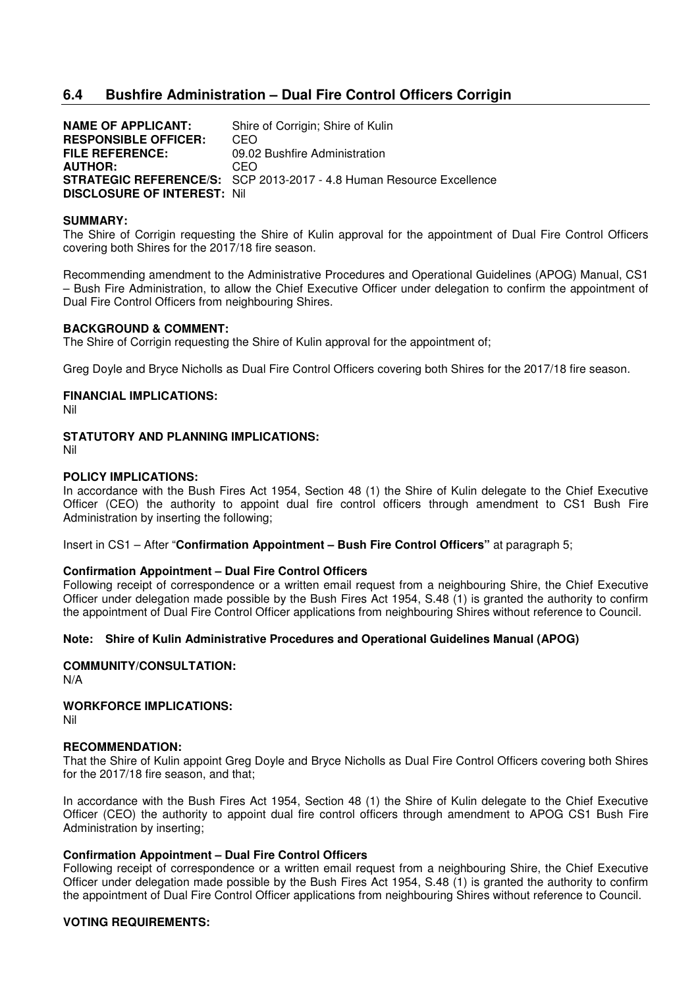# **6.4 Bushfire Administration – Dual Fire Control Officers Corrigin**

**NAME OF APPLICANT:** Shire of Corrigin; Shire of Kulin **RESPONSIBLE OFFICER:** CEO **FILE REFERENCE:** 09.02 Bushfire Administration **AUTHOR:** CEO **STRATEGIC REFERENCE/S:** SCP 2013-2017 - 4.8 Human Resource Excellence **DISCLOSURE OF INTEREST:** Nil

#### **SUMMARY:**

The Shire of Corrigin requesting the Shire of Kulin approval for the appointment of Dual Fire Control Officers covering both Shires for the 2017/18 fire season.

Recommending amendment to the Administrative Procedures and Operational Guidelines (APOG) Manual, CS1 – Bush Fire Administration, to allow the Chief Executive Officer under delegation to confirm the appointment of Dual Fire Control Officers from neighbouring Shires.

#### **BACKGROUND & COMMENT:**

The Shire of Corrigin requesting the Shire of Kulin approval for the appointment of;

Greg Doyle and Bryce Nicholls as Dual Fire Control Officers covering both Shires for the 2017/18 fire season.

#### **FINANCIAL IMPLICATIONS:**

Nil

## **STATUTORY AND PLANNING IMPLICATIONS:**

Nil

#### **POLICY IMPLICATIONS:**

In accordance with the Bush Fires Act 1954, Section 48 (1) the Shire of Kulin delegate to the Chief Executive Officer (CEO) the authority to appoint dual fire control officers through amendment to CS1 Bush Fire Administration by inserting the following;

Insert in CS1 – After "**Confirmation Appointment – Bush Fire Control Officers"** at paragraph 5;

#### **Confirmation Appointment – Dual Fire Control Officers**

Following receipt of correspondence or a written email request from a neighbouring Shire, the Chief Executive Officer under delegation made possible by the Bush Fires Act 1954, S.48 (1) is granted the authority to confirm the appointment of Dual Fire Control Officer applications from neighbouring Shires without reference to Council.

#### **Note: Shire of Kulin Administrative Procedures and Operational Guidelines Manual (APOG)**

**COMMUNITY/CONSULTATION:** 

N/A

## **WORKFORCE IMPLICATIONS:**

Nil

## **RECOMMENDATION:**

That the Shire of Kulin appoint Greg Doyle and Bryce Nicholls as Dual Fire Control Officers covering both Shires for the 2017/18 fire season, and that;

In accordance with the Bush Fires Act 1954, Section 48 (1) the Shire of Kulin delegate to the Chief Executive Officer (CEO) the authority to appoint dual fire control officers through amendment to APOG CS1 Bush Fire Administration by inserting;

# **Confirmation Appointment – Dual Fire Control Officers**

Following receipt of correspondence or a written email request from a neighbouring Shire, the Chief Executive Officer under delegation made possible by the Bush Fires Act 1954, S.48 (1) is granted the authority to confirm the appointment of Dual Fire Control Officer applications from neighbouring Shires without reference to Council.

# **VOTING REQUIREMENTS:**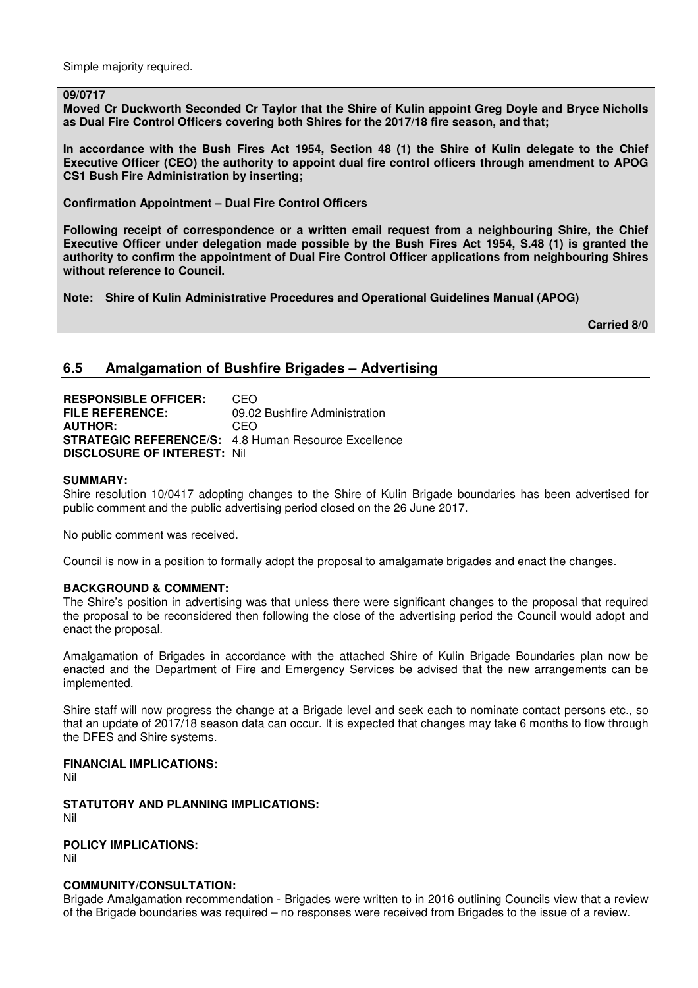Simple majority required.

#### **09/0717**

**Moved Cr Duckworth Seconded Cr Taylor that the Shire of Kulin appoint Greg Doyle and Bryce Nicholls as Dual Fire Control Officers covering both Shires for the 2017/18 fire season, and that;** 

**In accordance with the Bush Fires Act 1954, Section 48 (1) the Shire of Kulin delegate to the Chief Executive Officer (CEO) the authority to appoint dual fire control officers through amendment to APOG CS1 Bush Fire Administration by inserting;** 

**Confirmation Appointment – Dual Fire Control Officers** 

**Following receipt of correspondence or a written email request from a neighbouring Shire, the Chief Executive Officer under delegation made possible by the Bush Fires Act 1954, S.48 (1) is granted the authority to confirm the appointment of Dual Fire Control Officer applications from neighbouring Shires without reference to Council.** 

**Note: Shire of Kulin Administrative Procedures and Operational Guidelines Manual (APOG)** 

 **Carried 8/0** 

## **6.5 Amalgamation of Bushfire Brigades – Advertising**

**RESPONSIBLE OFFICER:** CEO **FILE REFERENCE:** 09.02 Bushfire Administration **AUTHOR:** CEO **STRATEGIC REFERENCE/S:** 4.8 Human Resource Excellence **DISCLOSURE OF INTEREST:** Nil

#### **SUMMARY:**

Shire resolution 10/0417 adopting changes to the Shire of Kulin Brigade boundaries has been advertised for public comment and the public advertising period closed on the 26 June 2017.

No public comment was received.

Council is now in a position to formally adopt the proposal to amalgamate brigades and enact the changes.

#### **BACKGROUND & COMMENT:**

The Shire's position in advertising was that unless there were significant changes to the proposal that required the proposal to be reconsidered then following the close of the advertising period the Council would adopt and enact the proposal.

Amalgamation of Brigades in accordance with the attached Shire of Kulin Brigade Boundaries plan now be enacted and the Department of Fire and Emergency Services be advised that the new arrangements can be implemented.

Shire staff will now progress the change at a Brigade level and seek each to nominate contact persons etc., so that an update of 2017/18 season data can occur. It is expected that changes may take 6 months to flow through the DFES and Shire systems.

#### **FINANCIAL IMPLICATIONS:**

Nil

**STATUTORY AND PLANNING IMPLICATIONS:**  Nil

**POLICY IMPLICATIONS:** 

Nil

## **COMMUNITY/CONSULTATION:**

Brigade Amalgamation recommendation - Brigades were written to in 2016 outlining Councils view that a review of the Brigade boundaries was required – no responses were received from Brigades to the issue of a review.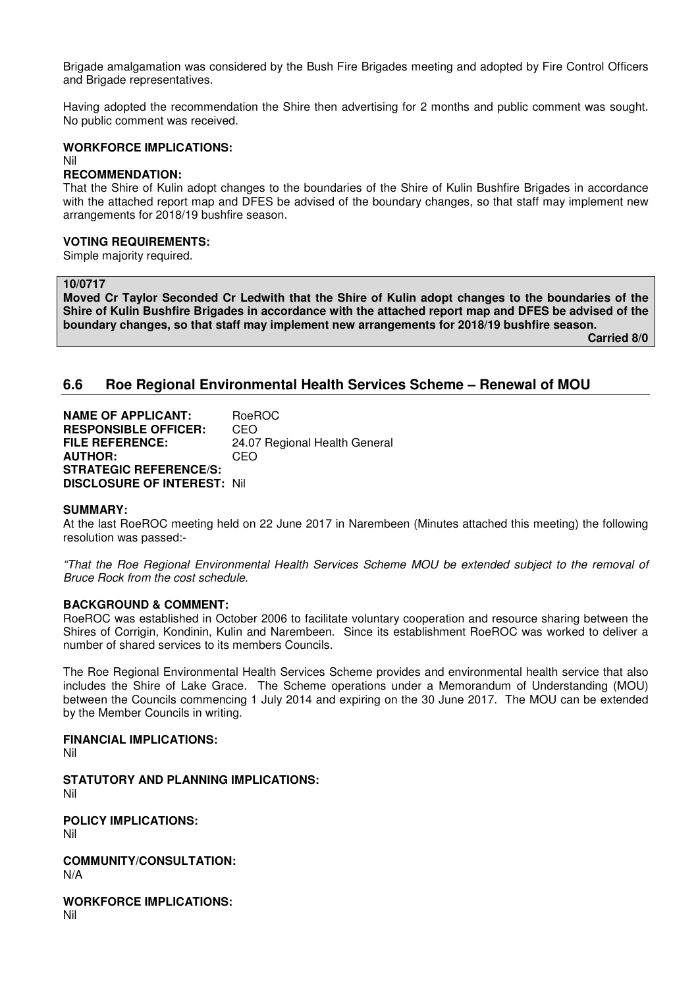Brigade amalgamation was considered by the Bush Fire Brigades meeting and adopted by Fire Control Officers and Brigade representatives.

Having adopted the recommendation the Shire then advertising for 2 months and public comment was sought. No public comment was received.

## **WORKFORCE IMPLICATIONS:**

#### Nil **RECOMMENDATION:**

That the Shire of Kulin adopt changes to the boundaries of the Shire of Kulin Bushfire Brigades in accordance with the attached report map and DFES be advised of the boundary changes, so that staff may implement new arrangements for 2018/19 bushfire season.

## **VOTING REQUIREMENTS:**

Simple majority required.

## **10/0717**

**Moved Cr Taylor Seconded Cr Ledwith that the Shire of Kulin adopt changes to the boundaries of the Shire of Kulin Bushfire Brigades in accordance with the attached report map and DFES be advised of the boundary changes, so that staff may implement new arrangements for 2018/19 bushfire season.** 

 **Carried 8/0** 

## **6.6 Roe Regional Environmental Health Services Scheme – Renewal of MOU**

**NAME OF APPLICANT: BOeROC RESPONSIBLE OFFICER:** CEO<br>**FILE REFERENCE:** 24.07 24.07 Regional Health General **AUTHOR:** CEO **STRATEGIC REFERENCE/S: DISCLOSURE OF INTEREST:** Nil

#### **SUMMARY:**

At the last RoeROC meeting held on 22 June 2017 in Narembeen (Minutes attached this meeting) the following resolution was passed:-

*"That the Roe Regional Environmental Health Services Scheme MOU be extended subject to the removal of Bruce Rock from the cost schedule.* 

#### **BACKGROUND & COMMENT:**

RoeROC was established in October 2006 to facilitate voluntary cooperation and resource sharing between the Shires of Corrigin, Kondinin, Kulin and Narembeen. Since its establishment RoeROC was worked to deliver a number of shared services to its members Councils.

The Roe Regional Environmental Health Services Scheme provides and environmental health service that also includes the Shire of Lake Grace. The Scheme operations under a Memorandum of Understanding (MOU) between the Councils commencing 1 July 2014 and expiring on the 30 June 2017. The MOU can be extended by the Member Councils in writing.

#### **FINANCIAL IMPLICATIONS:**

Nil

**STATUTORY AND PLANNING IMPLICATIONS:**  Nil

**POLICY IMPLICATIONS:** 

Nil

**COMMUNITY/CONSULTATION:**  N/A

**WORKFORCE IMPLICATIONS:**  Nil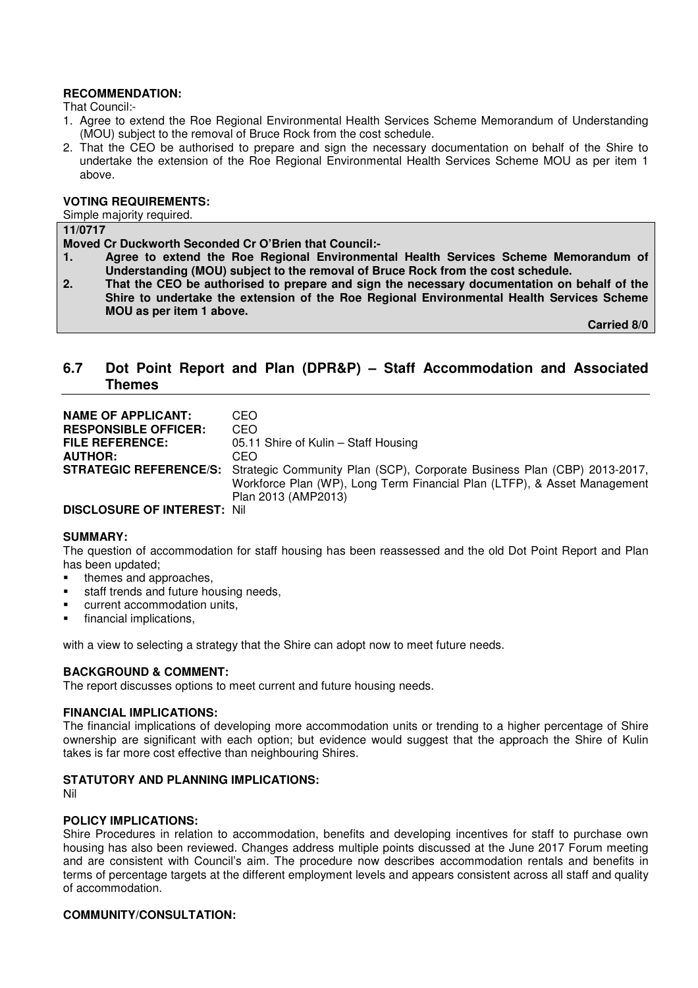## **RECOMMENDATION:**

That Council:-

- 1. Agree to extend the Roe Regional Environmental Health Services Scheme Memorandum of Understanding (MOU) subject to the removal of Bruce Rock from the cost schedule.
- 2. That the CEO be authorised to prepare and sign the necessary documentation on behalf of the Shire to undertake the extension of the Roe Regional Environmental Health Services Scheme MOU as per item 1 above.

## **VOTING REQUIREMENTS:**

Simple majority required.

## **11/0717**

**Moved Cr Duckworth Seconded Cr O'Brien that Council:-** 

- **1. Agree to extend the Roe Regional Environmental Health Services Scheme Memorandum of Understanding (MOU) subject to the removal of Bruce Rock from the cost schedule.**
- **2. That the CEO be authorised to prepare and sign the necessary documentation on behalf of the Shire to undertake the extension of the Roe Regional Environmental Health Services Scheme MOU as per item 1 above.**

 **Carried 8/0** 

# **6.7 Dot Point Report and Plan (DPR&P) – Staff Accommodation and Associated Themes**

| <b>NAME OF APPLICANT:</b><br><b>RESPONSIBLE OFFICER:</b> | CEO.<br>CEO                                                                                            |
|----------------------------------------------------------|--------------------------------------------------------------------------------------------------------|
|                                                          |                                                                                                        |
| <b>FILE REFERENCE:</b>                                   | 05.11 Shire of Kulin - Staff Housing                                                                   |
| <b>AUTHOR:</b>                                           | CEO.                                                                                                   |
|                                                          | <b>STRATEGIC REFERENCE/S:</b> Strategic Community Plan (SCP), Corporate Business Plan (CBP) 2013-2017, |
|                                                          | Workforce Plan (WP), Long Term Financial Plan (LTFP), & Asset Management                               |
|                                                          | Plan 2013 (AMP2013)                                                                                    |
| DISCLOSURE OF INTEREST INI                               |                                                                                                        |

#### **DISCLOSURE OF INTEREST:** Nil

#### **SUMMARY:**

The question of accommodation for staff housing has been reassessed and the old Dot Point Report and Plan has been updated;

- themes and approaches.
- staff trends and future housing needs,
- current accommodation units,
- financial implications,

with a view to selecting a strategy that the Shire can adopt now to meet future needs.

#### **BACKGROUND & COMMENT:**

The report discusses options to meet current and future housing needs.

#### **FINANCIAL IMPLICATIONS:**

The financial implications of developing more accommodation units or trending to a higher percentage of Shire ownership are significant with each option; but evidence would suggest that the approach the Shire of Kulin takes is far more cost effective than neighbouring Shires.

## **STATUTORY AND PLANNING IMPLICATIONS:**

Nil

#### **POLICY IMPLICATIONS:**

Shire Procedures in relation to accommodation, benefits and developing incentives for staff to purchase own housing has also been reviewed. Changes address multiple points discussed at the June 2017 Forum meeting and are consistent with Council's aim. The procedure now describes accommodation rentals and benefits in terms of percentage targets at the different employment levels and appears consistent across all staff and quality of accommodation.

#### **COMMUNITY/CONSULTATION:**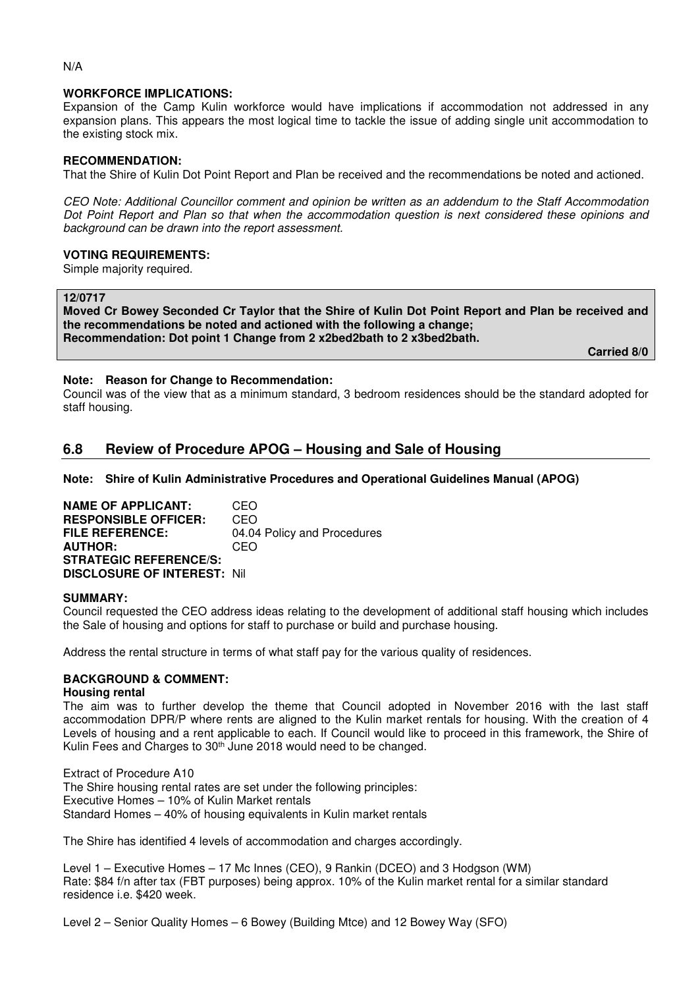## **WORKFORCE IMPLICATIONS:**

Expansion of the Camp Kulin workforce would have implications if accommodation not addressed in any expansion plans. This appears the most logical time to tackle the issue of adding single unit accommodation to the existing stock mix.

## **RECOMMENDATION:**

That the Shire of Kulin Dot Point Report and Plan be received and the recommendations be noted and actioned.

*CEO Note: Additional Councillor comment and opinion be written as an addendum to the Staff Accommodation Dot Point Report and Plan so that when the accommodation question is next considered these opinions and background can be drawn into the report assessment.* 

#### **VOTING REQUIREMENTS:**

Simple majority required.

#### **12/0717**

**Moved Cr Bowey Seconded Cr Taylor that the Shire of Kulin Dot Point Report and Plan be received and the recommendations be noted and actioned with the following a change; Recommendation: Dot point 1 Change from 2 x2bed2bath to 2 x3bed2bath.** 

 **Carried 8/0** 

#### **Note: Reason for Change to Recommendation:**

Council was of the view that as a minimum standard, 3 bedroom residences should be the standard adopted for staff housing.

# **6.8 Review of Procedure APOG – Housing and Sale of Housing**

**Note: Shire of Kulin Administrative Procedures and Operational Guidelines Manual (APOG)** 

**NAME OF APPLICANT:** CEO **RESPONSIBLE OFFICER:** CEO **FILE REFERENCE:** 04.04 Policy and Procedures **AUTHOR:** CEO **STRATEGIC REFERENCE/S: DISCLOSURE OF INTEREST:** Nil

#### **SUMMARY:**

Council requested the CEO address ideas relating to the development of additional staff housing which includes the Sale of housing and options for staff to purchase or build and purchase housing.

Address the rental structure in terms of what staff pay for the various quality of residences.

## **BACKGROUND & COMMENT:**

#### **Housing rental**

The aim was to further develop the theme that Council adopted in November 2016 with the last staff accommodation DPR/P where rents are aligned to the Kulin market rentals for housing. With the creation of 4 Levels of housing and a rent applicable to each. If Council would like to proceed in this framework, the Shire of Kulin Fees and Charges to 30<sup>th</sup> June 2018 would need to be changed.

Extract of Procedure A10 The Shire housing rental rates are set under the following principles: Executive Homes – 10% of Kulin Market rentals Standard Homes – 40% of housing equivalents in Kulin market rentals

The Shire has identified 4 levels of accommodation and charges accordingly.

Level 1 – Executive Homes – 17 Mc Innes (CEO), 9 Rankin (DCEO) and 3 Hodgson (WM) Rate: \$84 f/n after tax (FBT purposes) being approx. 10% of the Kulin market rental for a similar standard residence i.e. \$420 week.

Level 2 – Senior Quality Homes – 6 Bowey (Building Mtce) and 12 Bowey Way (SFO)

#### N/A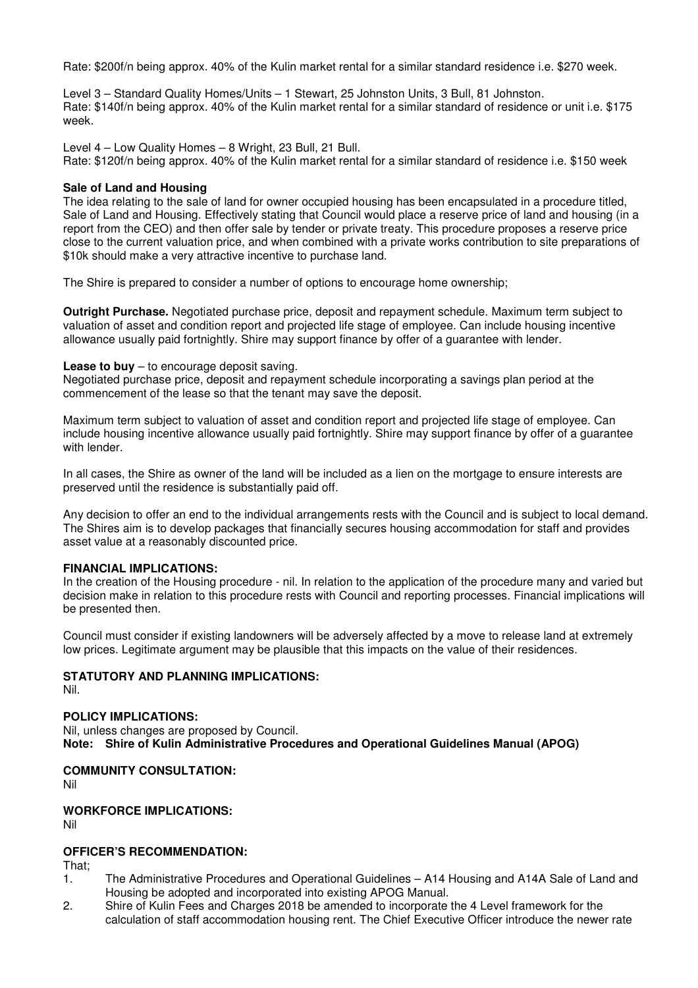Rate: \$200f/n being approx. 40% of the Kulin market rental for a similar standard residence i.e. \$270 week.

Level 3 – Standard Quality Homes/Units – 1 Stewart, 25 Johnston Units, 3 Bull, 81 Johnston. Rate: \$140f/n being approx. 40% of the Kulin market rental for a similar standard of residence or unit i.e. \$175 week.

Level 4 – Low Quality Homes – 8 Wright, 23 Bull, 21 Bull.

Rate: \$120f/n being approx. 40% of the Kulin market rental for a similar standard of residence i.e. \$150 week

## **Sale of Land and Housing**

The idea relating to the sale of land for owner occupied housing has been encapsulated in a procedure titled, Sale of Land and Housing. Effectively stating that Council would place a reserve price of land and housing (in a report from the CEO) and then offer sale by tender or private treaty. This procedure proposes a reserve price close to the current valuation price, and when combined with a private works contribution to site preparations of \$10k should make a very attractive incentive to purchase land.

The Shire is prepared to consider a number of options to encourage home ownership;

**Outright Purchase.** Negotiated purchase price, deposit and repayment schedule. Maximum term subject to valuation of asset and condition report and projected life stage of employee. Can include housing incentive allowance usually paid fortnightly. Shire may support finance by offer of a guarantee with lender.

#### **Lease to buy** – to encourage deposit saving.

Negotiated purchase price, deposit and repayment schedule incorporating a savings plan period at the commencement of the lease so that the tenant may save the deposit.

Maximum term subject to valuation of asset and condition report and projected life stage of employee. Can include housing incentive allowance usually paid fortnightly. Shire may support finance by offer of a guarantee with lender

In all cases, the Shire as owner of the land will be included as a lien on the mortgage to ensure interests are preserved until the residence is substantially paid off.

Any decision to offer an end to the individual arrangements rests with the Council and is subject to local demand. The Shires aim is to develop packages that financially secures housing accommodation for staff and provides asset value at a reasonably discounted price.

## **FINANCIAL IMPLICATIONS:**

In the creation of the Housing procedure - nil. In relation to the application of the procedure many and varied but decision make in relation to this procedure rests with Council and reporting processes. Financial implications will be presented then.

Council must consider if existing landowners will be adversely affected by a move to release land at extremely low prices. Legitimate argument may be plausible that this impacts on the value of their residences.

# **STATUTORY AND PLANNING IMPLICATIONS:**

Nil.

## **POLICY IMPLICATIONS:**

Nil, unless changes are proposed by Council. **Note: Shire of Kulin Administrative Procedures and Operational Guidelines Manual (APOG)** 

**COMMUNITY CONSULTATION:**

Nil

# **WORKFORCE IMPLICATIONS:**

Nil

## **OFFICER'S RECOMMENDATION:**

That;

- 1. The Administrative Procedures and Operational Guidelines A14 Housing and A14A Sale of Land and Housing be adopted and incorporated into existing APOG Manual.
- 2. Shire of Kulin Fees and Charges 2018 be amended to incorporate the 4 Level framework for the calculation of staff accommodation housing rent. The Chief Executive Officer introduce the newer rate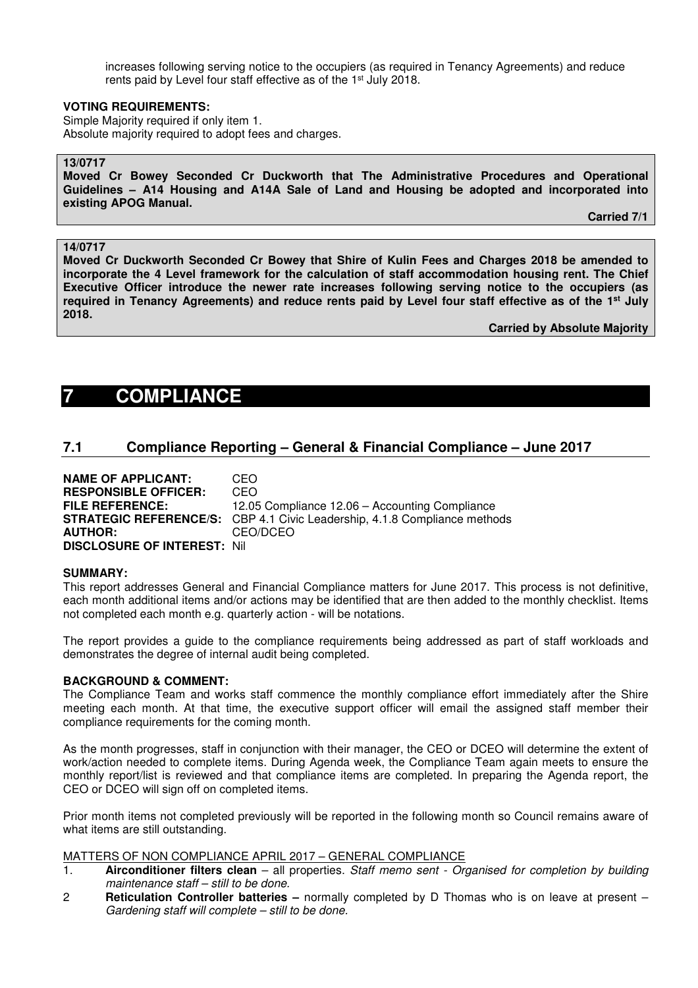increases following serving notice to the occupiers (as required in Tenancy Agreements) and reduce rents paid by Level four staff effective as of the 1<sup>st</sup> July 2018.

#### **VOTING REQUIREMENTS:**

Simple Majority required if only item 1. Absolute majority required to adopt fees and charges.

## **13/0717**

**Moved Cr Bowey Seconded Cr Duckworth that The Administrative Procedures and Operational Guidelines – A14 Housing and A14A Sale of Land and Housing be adopted and incorporated into existing APOG Manual.** 

 **Carried 7/1** 

#### **14/0717**

**Moved Cr Duckworth Seconded Cr Bowey that Shire of Kulin Fees and Charges 2018 be amended to incorporate the 4 Level framework for the calculation of staff accommodation housing rent. The Chief Executive Officer introduce the newer rate increases following serving notice to the occupiers (as required in Tenancy Agreements) and reduce rents paid by Level four staff effective as of the 1st July 2018.** 

 **Carried by Absolute Majority** 

# **7 COMPLIANCE**

# **7.1 Compliance Reporting – General & Financial Compliance – June 2017**

| <b>NAME OF APPLICANT:</b>          | CEO                                                                              |
|------------------------------------|----------------------------------------------------------------------------------|
| <b>RESPONSIBLE OFFICER:</b>        | CEO.                                                                             |
| <b>FILE REFERENCE:</b>             | 12.05 Compliance 12.06 – Accounting Compliance                                   |
|                                    | <b>STRATEGIC REFERENCE/S:</b> CBP 4.1 Civic Leadership, 4.1.8 Compliance methods |
| <b>AUTHOR:</b>                     | CEO/DCEO                                                                         |
| <b>DISCLOSURE OF INTEREST: Nil</b> |                                                                                  |

#### **SUMMARY:**

This report addresses General and Financial Compliance matters for June 2017. This process is not definitive, each month additional items and/or actions may be identified that are then added to the monthly checklist. Items not completed each month e.g. quarterly action - will be notations.

The report provides a guide to the compliance requirements being addressed as part of staff workloads and demonstrates the degree of internal audit being completed.

#### **BACKGROUND & COMMENT:**

The Compliance Team and works staff commence the monthly compliance effort immediately after the Shire meeting each month. At that time, the executive support officer will email the assigned staff member their compliance requirements for the coming month.

As the month progresses, staff in conjunction with their manager, the CEO or DCEO will determine the extent of work/action needed to complete items. During Agenda week, the Compliance Team again meets to ensure the monthly report/list is reviewed and that compliance items are completed. In preparing the Agenda report, the CEO or DCEO will sign off on completed items.

Prior month items not completed previously will be reported in the following month so Council remains aware of what items are still outstanding.

#### MATTERS OF NON COMPLIANCE APRIL 2017 – GENERAL COMPLIANCE

- 1. **Airconditioner filters clean**  all properties. *Staff memo sent Organised for completion by building maintenance staff – still to be done.*
- 2 **Reticulation Controller batteries** normally completed by D Thomas who is on leave at present *Gardening staff will complete – still to be done.*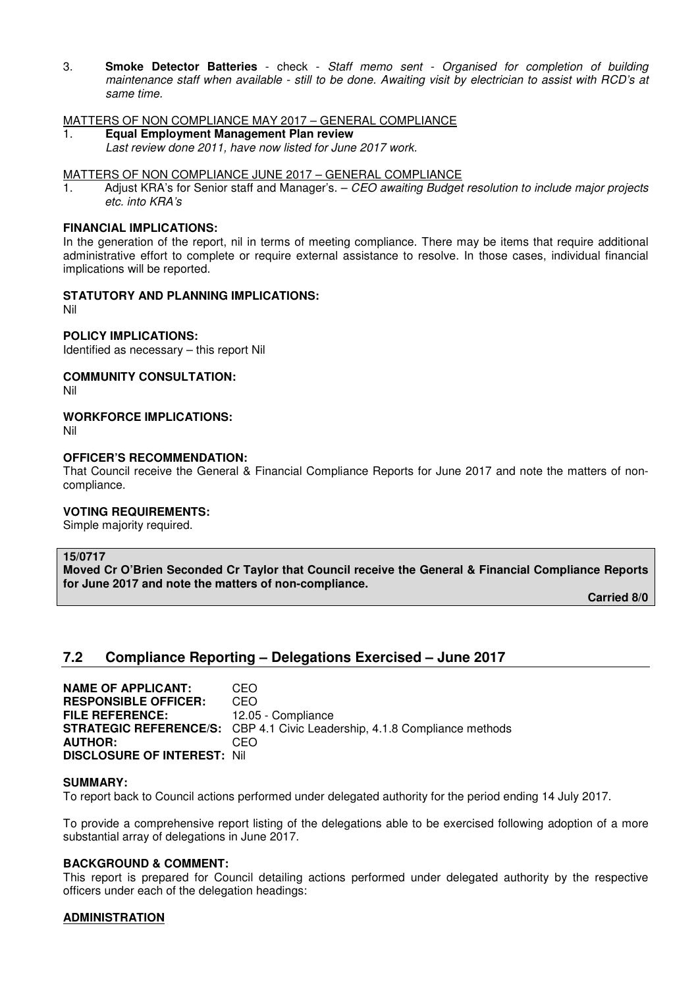3. **Smoke Detector Batteries** - check - *Staff memo sent - Organised for completion of building maintenance staff when available - still to be done. Awaiting visit by electrician to assist with RCD's at same time.* 

## MATTERS OF NON COMPLIANCE MAY 2017 – GENERAL COMPLIANCE

1. **Equal Employment Management Plan review**  *Last review done 2011, have now listed for June 2017 work.*

## MATTERS OF NON COMPLIANCE JUNE 2017 – GENERAL COMPLIANCE

1. Adjust KRA's for Senior staff and Manager's. – *CEO awaiting Budget resolution to include major projects etc. into KRA's* 

## **FINANCIAL IMPLICATIONS:**

In the generation of the report, nil in terms of meeting compliance. There may be items that require additional administrative effort to complete or require external assistance to resolve. In those cases, individual financial implications will be reported.

## **STATUTORY AND PLANNING IMPLICATIONS:**

Nil

## **POLICY IMPLICATIONS:**

Identified as necessary – this report Nil

## **COMMUNITY CONSULTATION:**

Nil

## **WORKFORCE IMPLICATIONS:**

Nil

## **OFFICER'S RECOMMENDATION:**

That Council receive the General & Financial Compliance Reports for June 2017 and note the matters of noncompliance.

#### **VOTING REQUIREMENTS:**

Simple majority required.

#### **15/0717**

**Moved Cr O'Brien Seconded Cr Taylor that Council receive the General & Financial Compliance Reports for June 2017 and note the matters of non-compliance.** 

 **Carried 8/0** 

# **7.2 Compliance Reporting – Delegations Exercised – June 2017**

**NAME OF APPLICANT: CEO<br>
RESPONSIBLE OFFICER: CEO RESPONSIBLE OFFICER: FILE REFERENCE:** 12.05 - Compliance **STRATEGIC REFERENCE/S:** CBP 4.1 Civic Leadership, 4.1.8 Compliance methods<br>**AUTHOR:** CEO **AUTHOR: DISCLOSURE OF INTEREST:** Nil

#### **SUMMARY:**

To report back to Council actions performed under delegated authority for the period ending 14 July 2017.

To provide a comprehensive report listing of the delegations able to be exercised following adoption of a more substantial array of delegations in June 2017.

## **BACKGROUND & COMMENT:**

This report is prepared for Council detailing actions performed under delegated authority by the respective officers under each of the delegation headings:

## **ADMINISTRATION**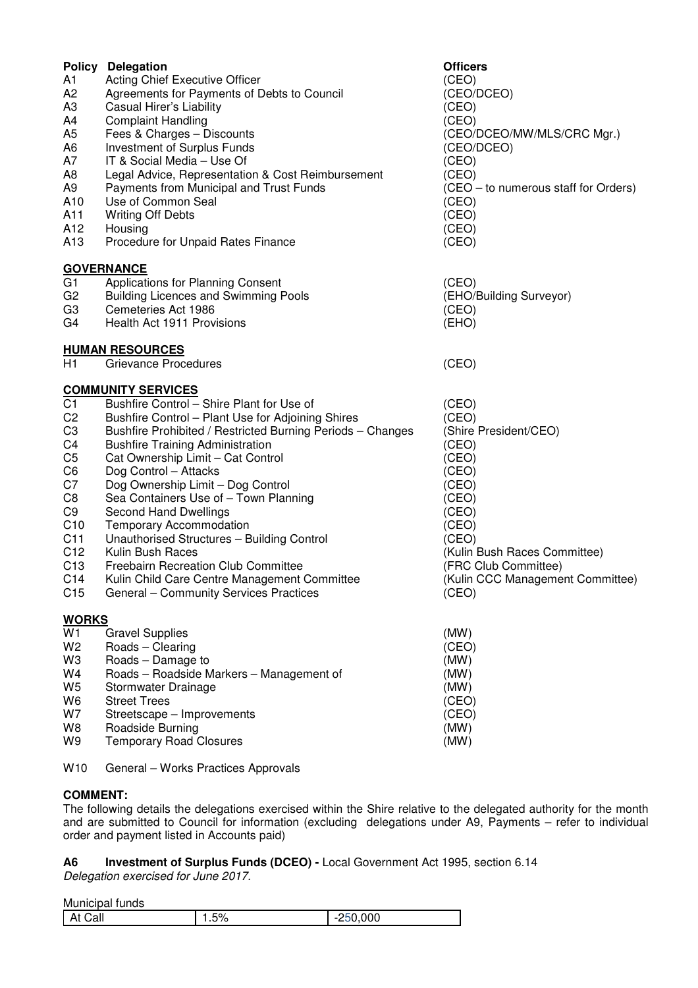|                 | <b>Policy Delegation</b>                                   | <b>Officers</b>                      |
|-----------------|------------------------------------------------------------|--------------------------------------|
| A1              | Acting Chief Executive Officer                             | (CEO)                                |
| A <sub>2</sub>  | Agreements for Payments of Debts to Council                | (CEO/DCEO)                           |
| A <sub>3</sub>  | Casual Hirer's Liability                                   | (CEO)                                |
| A4              | <b>Complaint Handling</b>                                  | (CEO)                                |
| A <sub>5</sub>  | Fees & Charges - Discounts                                 | (CEO/DCEO/MW/MLS/CRC Mgr.)           |
| A <sub>6</sub>  | <b>Investment of Surplus Funds</b>                         | (CEO/DCEO)                           |
| A7              | IT & Social Media - Use Of                                 | (CEO)                                |
|                 |                                                            |                                      |
| A8              | Legal Advice, Representation & Cost Reimbursement          | (CEO)                                |
| A <sub>9</sub>  | Payments from Municipal and Trust Funds                    | (CEO - to numerous staff for Orders) |
| A10             | Use of Common Seal                                         | (CEO)                                |
| A11             | <b>Writing Off Debts</b>                                   | (CEO)                                |
| A12             | Housing                                                    | (CEO)                                |
| A <sub>13</sub> | Procedure for Unpaid Rates Finance                         | (CEO)                                |
|                 | <b>GOVERNANCE</b>                                          |                                      |
| G <sub>1</sub>  | <b>Applications for Planning Consent</b>                   | (CEO)                                |
| G <sub>2</sub>  | <b>Building Licences and Swimming Pools</b>                | (EHO/Building Surveyor)              |
| G <sub>3</sub>  | Cemeteries Act 1986                                        | (CEO)                                |
| G4              | Health Act 1911 Provisions                                 | (EHO)                                |
|                 | <b>HUMAN RESOURCES</b>                                     |                                      |
| H1              | Grievance Procedures                                       | (CEO)                                |
|                 | <b>COMMUNITY SERVICES</b>                                  |                                      |
| C <sub>1</sub>  | Bushfire Control - Shire Plant for Use of                  | (CEO)                                |
| C <sub>2</sub>  | Bushfire Control - Plant Use for Adjoining Shires          | (CEO)                                |
| C <sub>3</sub>  |                                                            | (Shire President/CEO)                |
|                 | Bushfire Prohibited / Restricted Burning Periods - Changes |                                      |
| C4              | <b>Bushfire Training Administration</b>                    | (CEO)                                |
| C <sub>5</sub>  | Cat Ownership Limit - Cat Control                          | (CEO)                                |
| C <sub>6</sub>  | Dog Control - Attacks                                      | (CEO)                                |
| C7              | Dog Ownership Limit - Dog Control                          | (CEO)                                |
| C <sub>8</sub>  | Sea Containers Use of - Town Planning                      | (CEO)                                |
| C <sub>9</sub>  | <b>Second Hand Dwellings</b>                               | (CEO)                                |
| C10             | <b>Temporary Accommodation</b>                             | (CEO)                                |
| C11             | Unauthorised Structures - Building Control                 | (CEO)                                |
| C <sub>12</sub> | Kulin Bush Races                                           | (Kulin Bush Races Committee)         |
| C <sub>13</sub> | <b>Freebairn Recreation Club Committee</b>                 | (FRC Club Committee)                 |
| C <sub>14</sub> | Kulin Child Care Centre Management Committee               | (Kulin CCC Management Committee)     |
| C <sub>15</sub> | General - Community Services Practices                     | (CEO)                                |
| <b>WORKS</b>    |                                                            |                                      |
| W <sub>1</sub>  | <b>Gravel Supplies</b>                                     | (MW)                                 |
| W <sub>2</sub>  | Roads - Clearing                                           | (CEO)                                |
| W3              | Roads - Damage to                                          | (MW)                                 |
| W4              | Roads - Roadside Markers - Management of                   | (MW)                                 |
| W <sub>5</sub>  | Stormwater Drainage                                        | (MW)                                 |
| W <sub>6</sub>  | <b>Street Trees</b>                                        | (CEO)                                |
| W7              | Streetscape - Improvements                                 | (CEO)                                |
| W8              |                                                            | (MW)                                 |
|                 | Roadside Burning                                           |                                      |
| W9              | <b>Temporary Road Closures</b>                             | (MW)                                 |

W10 General – Works Practices Approvals

## **COMMENT:**

The following details the delegations exercised within the Shire relative to the delegated authority for the month and are submitted to Council for information (excluding delegations under A9, Payments – refer to individual order and payment listed in Accounts paid)

# **A6 Investment of Surplus Funds (DCEO) -** Local Government Act 1995, section 6.14

*Delegation exercised for June 2017.* 

Municipal funds

| -^<br>$\mathbf{r}$<br>ורי<br>$\cdot$<br>- -<br>Udi.<br>70 - ن |  |       |
|---------------------------------------------------------------|--|-------|
|                                                               |  | 0.000 |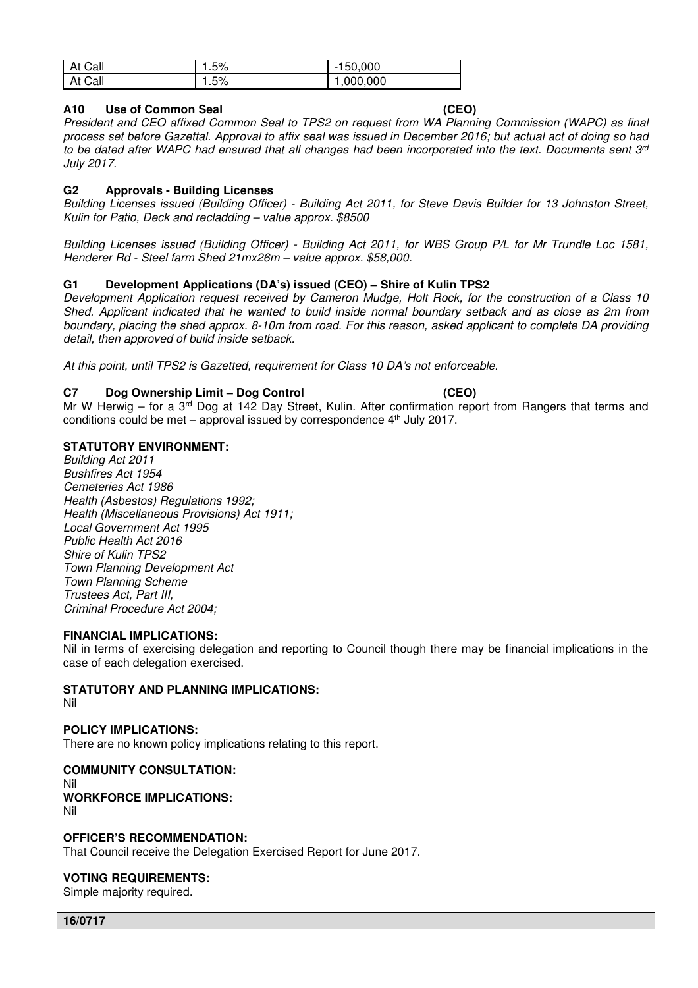| At Call | .5% | $-150,000$ |
|---------|-----|------------|
| At Call | .5% | ,000,000   |

## **A10 Use of Common Seal (CEO)**

*President and CEO affixed Common Seal to TPS2 on request from WA Planning Commission (WAPC) as final process set before Gazettal. Approval to affix seal was issued in December 2016; but actual act of doing so had to be dated after WAPC had ensured that all changes had been incorporated into the text. Documents sent 3rd July 2017.* 

## **G2 Approvals - Building Licenses**

*Building Licenses issued (Building Officer) - Building Act 2011, for Steve Davis Builder for 13 Johnston Street, Kulin for Patio, Deck and recladding – value approx. \$8500* 

*Building Licenses issued (Building Officer) - Building Act 2011, for WBS Group P/L for Mr Trundle Loc 1581, Henderer Rd - Steel farm Shed 21mx26m – value approx. \$58,000.*

## **G1 Development Applications (DA's) issued (CEO) – Shire of Kulin TPS2**

*Development Application request received by Cameron Mudge, Holt Rock, for the construction of a Class 10 Shed. Applicant indicated that he wanted to build inside normal boundary setback and as close as 2m from boundary, placing the shed approx. 8-10m from road. For this reason, asked applicant to complete DA providing detail, then approved of build inside setback.* 

*At this point, until TPS2 is Gazetted, requirement for Class 10 DA's not enforceable.* 

## **C7 Dog Ownership Limit – Dog Control (CEO)**

Mr W Herwig – for a 3<sup>rd</sup> Dog at 142 Day Street, Kulin. After confirmation report from Rangers that terms and conditions could be met – approval issued by correspondence  $4<sup>th</sup>$  July 2017.

## **STATUTORY ENVIRONMENT:**

*Building Act 2011 Bushfires Act 1954 Cemeteries Act 1986 Health (Asbestos) Regulations 1992; Health (Miscellaneous Provisions) Act 1911; Local Government Act 1995 Public Health Act 2016 Shire of Kulin TPS2 Town Planning Development Act Town Planning Scheme Trustees Act, Part III, Criminal Procedure Act 2004;* 

#### **FINANCIAL IMPLICATIONS:**

Nil in terms of exercising delegation and reporting to Council though there may be financial implications in the case of each delegation exercised.

## **STATUTORY AND PLANNING IMPLICATIONS:**

Nil

## **POLICY IMPLICATIONS:**

There are no known policy implications relating to this report.

# **COMMUNITY CONSULTATION:**  Nil **WORKFORCE IMPLICATIONS:**

Nil

## **OFFICER'S RECOMMENDATION:**

That Council receive the Delegation Exercised Report for June 2017.

## **VOTING REQUIREMENTS:**

Simple majority required.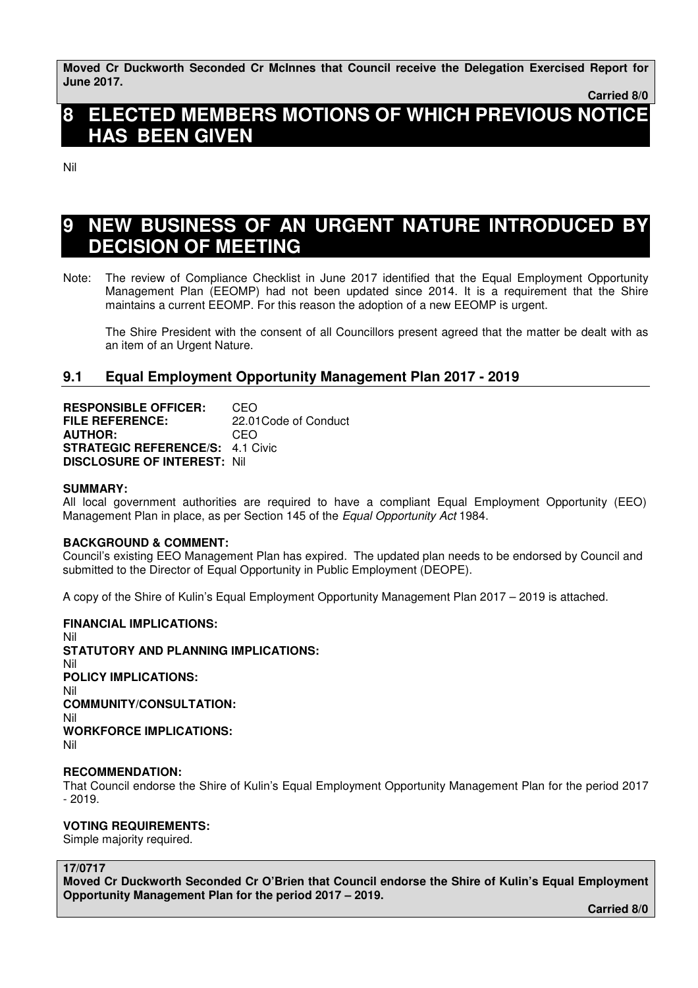**Moved Cr Duckworth Seconded Cr McInnes that Council receive the Delegation Exercised Report for June 2017.** 

 **Carried 8/0** 

# **8 ELECTED MEMBERS MOTIONS OF WHICH PREVIOUS NOTICE HAS BEEN GIVEN**

Nil

# **9 NEW BUSINESS OF AN URGENT NATURE INTRODUCED BY DECISION OF MEETING**

Note: The review of Compliance Checklist in June 2017 identified that the Equal Employment Opportunity Management Plan (EEOMP) had not been updated since 2014. It is a requirement that the Shire maintains a current EEOMP. For this reason the adoption of a new EEOMP is urgent.

 The Shire President with the consent of all Councillors present agreed that the matter be dealt with as an item of an Urgent Nature.

# **9.1 Equal Employment Opportunity Management Plan 2017 - 2019**

**RESPONSIBLE OFFICER:** CEO **FILE REFERENCE:** 22.01Code of Conduct **AUTHOR:** CEO **STRATEGIC REFERENCE/S:** 4.1 Civic **DISCLOSURE OF INTEREST:** Nil

## **SUMMARY:**

All local government authorities are required to have a compliant Equal Employment Opportunity (EEO) Management Plan in place, as per Section 145 of the *Equal Opportunity Act* 1984.

## **BACKGROUND & COMMENT:**

Council's existing EEO Management Plan has expired. The updated plan needs to be endorsed by Council and submitted to the Director of Equal Opportunity in Public Employment (DEOPE).

A copy of the Shire of Kulin's Equal Employment Opportunity Management Plan 2017 – 2019 is attached.

## **FINANCIAL IMPLICATIONS:**

Nil **STATUTORY AND PLANNING IMPLICATIONS:**  Nil **POLICY IMPLICATIONS:**  Nil **COMMUNITY/CONSULTATION:**  Nil **WORKFORCE IMPLICATIONS:**  Nil

## **RECOMMENDATION:**

That Council endorse the Shire of Kulin's Equal Employment Opportunity Management Plan for the period 2017 - 2019.

## **VOTING REQUIREMENTS:**

Simple majority required.

**17/0717** 

**Moved Cr Duckworth Seconded Cr O'Brien that Council endorse the Shire of Kulin's Equal Employment Opportunity Management Plan for the period 2017 – 2019.** 

 **Carried 8/0**